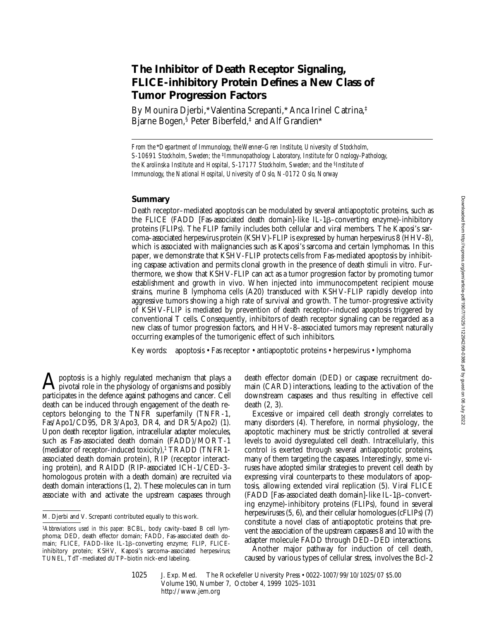# **The Inhibitor of Death Receptor Signaling, FLICE-inhibitory Protein Defines a New Class of Tumor Progression Factors**

By Mounira Djerbi,\* Valentina Screpanti,\* Anca Irinel Catrina,‡ Bjarne Bogen,<sup>§</sup> Peter Biberfeld,<sup>‡</sup> and Alf Grandien\*

*From the*\**Department of Immunology, the Wenner-Gren Institute, University of Stockholm, S-10691 Stockholm, Sweden; the* ‡*Immunopathology Laboratory, Institute for Oncology-Pathology, the Karolinska Institute and Hospital, S-17177 Stockholm, Sweden; and the* §*Institute of Immunology, the National Hospital, University of Oslo, N-0172 Oslo, Norway*

## **Summary**

Death receptor–mediated apoptosis can be modulated by several antiapoptotic proteins, such as the FLICE (FADD [Fas-associated death domain]-like IL-1ß–converting enzyme)-inhibitory proteins (FLIPs). The FLIP family includes both cellular and viral members. The Kaposi's sarcoma–associated herpesvirus protein (KSHV)-FLIP is expressed by human herpesvirus 8 (HHV-8), which is associated with malignancies such as Kaposi's sarcoma and certain lymphomas. In this paper, we demonstrate that KSHV-FLIP protects cells from Fas-mediated apoptosis by inhibiting caspase activation and permits clonal growth in the presence of death stimuli in vitro. Furthermore, we show that KSHV-FLIP can act as a tumor progression factor by promoting tumor establishment and growth in vivo. When injected into immunocompetent recipient mouse strains, murine B lymphoma cells (A20) transduced with KSHV-FLIP rapidly develop into aggressive tumors showing a high rate of survival and growth. The tumor-progressive activity of KSHV-FLIP is mediated by prevention of death receptor–induced apoptosis triggered by conventional T cells. Consequently, inhibitors of death receptor signaling can be regarded as a new class of tumor progression factors, and HHV-8–associated tumors may represent naturally occurring examples of the tumorigenic effect of such inhibitors.

Key words: apoptosis • Fas receptor • antiapoptotic proteins • herpesvirus • lymphoma

poptosis is a highly regulated mechanism that plays a pivotal role in the physiology of organisms and possibly participates in the defence against pathogens and cancer. Cell death can be induced through engagement of the death receptors belonging to the TNFR superfamily (TNFR-1, Fas/Apo1/CD95, DR3/Apo3, DR4, and DR5/Apo2) (1). Upon death receptor ligation, intracellular adapter molecules, such as Fas-associated death domain (FADD)/MORT-1 (mediator of receptor-induced toxicity), $1$  TRADD (TNFR1associated death domain protein), RIP (receptor interacting protein), and RAIDD (RIP-associated ICH-1/CED-3– homologous protein with a death domain) are recruited via death domain interactions (1, 2). These molecules can in turn associate with and activate the upstream caspases through death effector domain (DED) or caspase recruitment domain (CARD) interactions, leading to the activation of the downstream caspases and thus resulting in effective cell death (2, 3).

Excessive or impaired cell death strongly correlates to many disorders (4). Therefore, in normal physiology, the apoptotic machinery must be strictly controlled at several levels to avoid dysregulated cell death. Intracellularly, this control is exerted through several antiapoptotic proteins, many of them targeting the caspases. Interestingly, some viruses have adopted similar strategies to prevent cell death by expressing viral counterparts to these modulators of apoptosis, allowing extended viral replication (5). Viral FLICE (FADD [Fas-associated death domain]-like IL-1 $\beta$ –converting enzyme)-inhibitory proteins (FLIPs), found in several herpesviruses (5, 6), and their cellular homologues (cFLIPs) (7) constitute a novel class of antiapoptotic proteins that prevent the association of the upstream caspases 8 and 10 with the adapter molecule FADD through DED–DED interactions.

Another major pathway for induction of cell death, caused by various types of cellular stress, involves the Bcl-2

M. Djerbi and V. Screpanti contributed equally to this work.

<sup>1</sup>*Abbreviations used in this paper:* BCBL, body cavity–based B cell lymphoma; DED, death effector domain; FADD, Fas-associated death domain; FLICE, FADD-like IL-1ß-converting enzyme; FLIP, FLICEinhibitory protein; KSHV, Kaposi's sarcoma–associated herpesvirus; TUNEL, TdT-mediated dUTP–biotin nick-end labeling.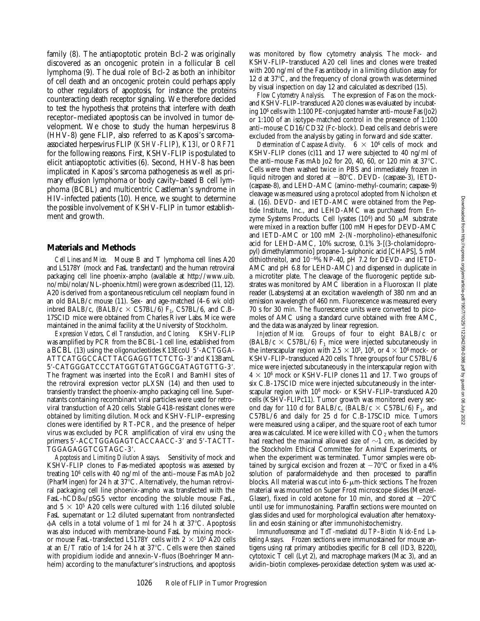family (8). The antiapoptotic protein Bcl-2 was originally discovered as an oncogenic protein in a follicular B cell lymphoma (9). The dual role of Bcl-2 as both an inhibitor of cell death and an oncogenic protein could perhaps apply to other regulators of apoptosis, for instance the proteins counteracting death receptor signaling. We therefore decided to test the hypothesis that proteins that interfere with death receptor–mediated apoptosis can be involved in tumor development. We chose to study the human herpesvirus 8 (HHV-8) gene FLIP, also referred to as Kaposi's sarcoma– associated herpesvirus FLIP (*KSHV-FLIP*), *K13l*, or *ORF71* for the following reasons. First, KSHV-FLIP is postulated to elicit antiapoptotic activities (6). Second, HHV-8 has been implicated in Kaposi's sarcoma pathogenesis as well as primary effusion lymphoma or body cavity–based B cell lymphoma (BCBL) and multicentric Castleman's syndrome in HIV-infected patients (10). Hence, we sought to determine the possible involvement of KSHV-FLIP in tumor establishment and growth.

#### **Materials and Methods**

*Cell Lines and Mice.* Mouse B and T lymphoma cell lines A20 and L5178Y (mock and FasL transfectant) and the human retroviral packaging cell line phoenix-ampho (available at http://www.uib. no/mbi/nolan/NL-phoenix.html) were grown as described (11, 12). A20 is derived from a spontaneous reticulum cell neoplasm found in an old BALB/c mouse (11). Sex- and age-matched (4–6 wk old) inbred BALB/c, (BALB/c  $\times$  C57BL/6) F<sub>1</sub>, C57BL/6, and C.B-17SCID mice were obtained from Charles River Labs. Mice were maintained in the animal facility at the University of Stockholm.

*Expression Vectors, Cell Transduction, and Cloning.* KSHV-FLIP was amplified by PCR from the BCBL-1 cell line, established from a BCBL (13) using the oligonucleotides K13EcoU 5'-ACTGGA-ATTCATGGCCACTTACGAGGTTCTCTG-3' and K13BamL 5'-CATGGGATCCCTATGGTGTATGGCGATAGTGTTG-3'. The fragment was inserted into the EcoRI and BamHI sites of the retroviral expression vector pLXSN (14) and then used to transiently transfect the phoenix-ampho packaging cell line. Supernatants containing recombinant viral particles were used for retroviral transduction of A20 cells. Stable G418-resistant clones were obtained by limiting dilution. Mock and KSHV-FLIP–expressing clones were identified by RT-PCR, and the presence of helper virus was excluded by PCR amplification of viral *env* using the primers 5'-ACCTGGAGAGTCACCAACC-3' and 5'-TACTT-TGGAGAGGTCGTAGC-3'.

*Apoptosis and Limiting Dilution Assays.* Sensitivity of mock and KSHV-FLIP clones to Fas-mediated apoptosis was assessed by treating 106 cells with 40 ng/ml of the anti–mouse Fas mAb Jo2 (PharMingen) for 24 h at  $37^{\circ}$ C. Alternatively, the human retroviral packaging cell line phoenix-ampho was transfected with the FasL-hCD8 $\alpha$ /pSG5 vector encoding the soluble mouse FasL, and  $5 \times 10^5$  A20 cells were cultured with 1:16 diluted soluble FasL supernatant or 1:2 diluted supernatant from nontransfected  $\phi$ A cells in a total volume of 1 ml for 24 h at 37 $\degree$ C. Apoptosis was also induced with membrane-bound FasL by mixing mockor mouse FasL-transfected L5178Y cells with  $2 \times 10^5$  A20 cells at an E/T ratio of 1:4 for 24 h at  $37^{\circ}$ C. Cells were then stained with propidium iodide and annexin-V-fluos (Boehringer Mannheim) according to the manufacturer's instructions, and apoptosis

was monitored by flow cytometry analysis. The mock- and KSHV-FLIP–transduced A20 cell lines and clones were treated with 200 ng/ml of the Fas antibody in a limiting dilution assay for 12 d at  $37^{\circ}$ C, and the frequency of clonal growth was determined by visual inspection on day 12 and calculated as described (15).

*Flow Cytometry Analysis.* The expression of Fas on the mockand KSHV-FLIP–transduced A20 clones was evaluated by incubating 106 cells with 1:100 PE-conjugated hamster anti–mouse Fas (Jo2) or 1:100 of an isotype-matched control in the presence of 1:100 anti–mouse CD16/CD32 (Fc-block). Dead cells and debris were excluded from the analysis by gating in forward and side scatter.

*Determination of Caspase Activity.*  $6 \times 10^6$  cells of mock and KSHV-FLIP clones (c)11 and 17 were subjected to 40 ng/ml of the anti-mouse Fas mAb Jo2 for 20, 40, 60, or 120 min at  $37^{\circ}$ C. Cells were then washed twice in PBS and immediately frozen in liquid nitrogen and stored at  $-80^{\circ}$ C. DEVD- (caspase-3), IETD-(caspase-8), and LEHD-AMC (amino-methyl-coumarin; caspase-9) cleavage was measured using a protocol adopted from Nicholson et al. (16). DEVD- and IETD-AMC were obtained from the Peptide Institute, Inc., and LEHD-AMC was purchased from Enzyme Systems Products. Cell lysates (10<sup>6</sup>) and 50  $\mu$ M substrate were mixed in a reaction buffer (100 mM Hepes for DEVD-AMC and IETD-AMC or 100 mM 2-(*N*-morpholino)-ethanesulfonic acid for LEHD-AMC, 10% sucrose, 0.1% 3-[(3-cholamidopropyl) dimethylammonio] propane-1-sulphonic acid [CHAPS], 5 mM dithiothreitol, and  $10^{-6}$ % NP-40, pH 7.2 for DEVD- and IETD-AMC and pH 6.8 for LEHD-AMC) and dispensed in duplicate in a microtiter plate. The cleavage of the fluorogenic peptide substrates was monitored by AMC liberation in a Fluoroscan II plate reader (Labsystems) at an excitation wavelength of 380 nm and an emission wavelength of 460 nm. Fluorescence was measured every 70 s for 30 min. The fluorescence units were converted to picomoles of AMC using a standard curve obtained with free AMC, and the data was analyzed by linear regression.

*Injection of Mice.* Groups of four to eight BALB/c or (BALB/c  $\times$  C57BL/6) F<sub>1</sub> mice were injected subcutaneously in the interscapular region with 2.5  $\times$  10<sup>5</sup>, 10<sup>6</sup>, or 4  $\times$  10<sup>6</sup> mock- or KSHV-FLIP–transduced A20 cells. Three groups of four C57BL/6 mice were injected subcutaneously in the interscapular region with  $4 \times 10^6$  mock or KSHV-FLIP clones 11 and 17. Two groups of six C.B-17SCID mice were injected subcutaneously in the interscapular region with 106 mock- or KSHV-FLIP–transduced A20 cells (KSHV-FLIPc11). Tumor growth was monitored every second day for 110 d for BALB/c, (BALB/c  $\times$  C57BL/6) F<sub>1</sub>, and C57BL/6 and daily for 25 d for C.B-17SCID mice. Tumors were measured using a caliper, and the square root of each tumor area was calculated. Mice were killed with  $CO<sub>2</sub>$  when the tumors had reached the maximal allowed size of  $\sim$ 1 cm, as decided by the Stockholm Ethical Committee for Animal Experiments, or when the experiment was terminated. Tumor samples were obtained by surgical excision and frozen at  $-70^{\circ}$ C or fixed in a 4% solution of paraformaldehyde and then processed to paraffin blocks. All material was cut into  $6-\mu m$ -thick sections. The frozen material was mounted on Super Frost microscope slides (Menzel-Glaser), fixed in cold acetone for 10 min, and stored at  $-20^{\circ}$ C until use for immunostaining. Paraffin sections were mounted on glass slides and used for morphological evaluation after hematoxylin and eosin staining or after immunohistochemistry.

*Immunofluorescence and TdT-mediated dUTP–Biotin Nick-End Labeling Assays.* Frozen sections were immunostained for mouse antigens using rat primary antibodies specific for B cell (ID3, B220), cytotoxic T cell (Lyt 2), and macrophage markers (Mac 3), and an avidin–biotin complexes–peroxidase detection system was used ac-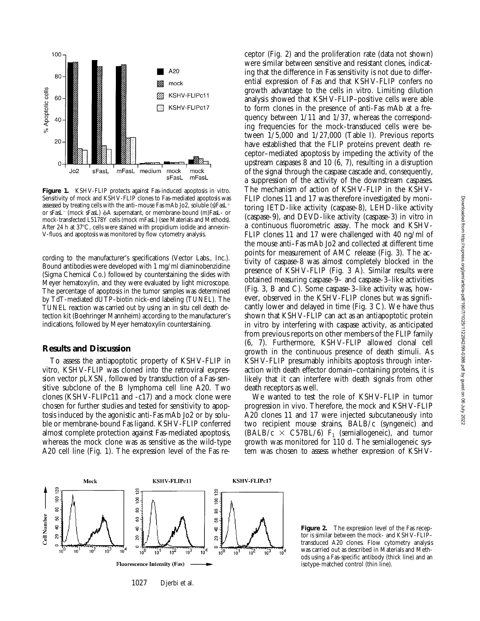

**Figure 1.** KSHV-FLIP protects against Fas-induced apoptosis in vitro. Sensitivity of mock and KSHV-FLIP clones to Fas-mediated apoptosis was assessed by treating cells with the anti–mouse Fas mAb Jo2, soluble (s)FasL<sup>+</sup> or sFasL<sup>-</sup> (mock sFasL)  $\phi$ A supernatant, or membrane-bound (m)FasL- or mock-transfected L5178Y cells (mock mFasL) (see Materials and Methods). After 24 h at 37°C, cells were stained with propidium iodide and annexin-V-fluos, and apoptosis was monitored by flow cytometry analysis.

cording to the manufacturer's specifications (Vector Labs., Inc.). Bound antibodies were developed with 1 mg/ml diaminobenzidine (Sigma Chemical Co.) followed by counterstaining the slides with Meyer hematoxylin, and they were evaluated by light microscope. The percentage of apoptosis in the tumor samples was determined by TdT-mediated dUTP–biotin nick-end labeling (TUNEL). The TUNEL reaction was carried out by using an in situ cell death detection kit (Boehringer Mannheim) according to the manufacturer's indications, followed by Meyer hematoxylin counterstaining.

#### **Results and Discussion**

To assess the antiapoptotic property of KSHV-FLIP in vitro*,* KSHV-FLIP was cloned into the retroviral expression vector pLXSN, followed by transduction of a Fas-sensitive subclone of the B lymphoma cell line A20. Two clones (KSHV-FLIPc11 and -c17) and a mock clone were chosen for further studies and tested for sensitivity to apoptosis induced by the agonistic anti-Fas mAb Jo2 or by soluble or membrane-bound Fas ligand. KSHV-FLIP conferred almost complete protection against Fas-mediated apoptosis, whereas the mock clone was as sensitive as the wild-type A20 cell line (Fig. 1). The expression level of the Fas receptor (Fig. 2) and the proliferation rate (data not shown) were similar between sensitive and resistant clones, indicating that the difference in Fas sensitivity is not due to differential expression of Fas and that KSHV-FLIP confers no growth advantage to the cells in vitro. Limiting dilution analysis showed that KSHV-FLIP–positive cells were able to form clones in the presence of anti-Fas mAb at a frequency between 1/11 and 1/37, whereas the corresponding frequencies for the mock-transduced cells were between 1/5,000 and 1/27,000 (Table I). Previous reports have established that the FLIP proteins prevent death receptor–mediated apoptosis by impeding the activity of the upstream caspases 8 and 10 (6, 7), resulting in a disruption of the signal through the caspase cascade and, consequently, a suppression of the activity of the downstream caspases. The mechanism of action of KSHV-FLIP in the KSHV-FLIP clones 11 and 17 was therefore investigated by monitoring IETD-like activity (caspase-8), LEHD-like activity (caspase-9), and DEVD-like activity (caspase-3) in vitro in a continuous fluorometric assay. The mock and KSHV-FLIP clones 11 and 17 were challenged with 40 ng/ml of the mouse anti–Fas mAb Jo2 and collected at different time points for measurement of AMC release (Fig. 3). The activity of caspase-8 was almost completely blocked in the presence of KSHV-FLIP (Fig. 3 A). Similar results were obtained measuring caspase-9– and caspase-3–like activities (Fig. 3, B and C). Some caspase-3–like activity was, however, observed in the KSHV-FLIP clones but was significantly lower and delayed in time (Fig. 3 C). We have thus shown that KSHV-FLIP can act as an antiapoptotic protein in vitro by interfering with caspase activity, as anticipated from previous reports on other members of the FLIP family (6, 7). Furthermore, KSHV-FLIP allowed clonal cell growth in the continuous presence of death stimuli. As KSHV-FLIP presumably inhibits apoptosis through interaction with death effector domain–containing proteins, it is likely that it can interfere with death signals from other death receptors as well.

We wanted to test the role of KSHV-FLIP in tumor progression in vivo. Therefore, the mock and KSHV-FLIP A20 clones 11 and 17 were injected subcutaneously into two recipient mouse strains, BALB/c (syngeneic) and  $(BALB/c \times C57BL/6)$  F<sub>1</sub> (semiallogeneic), and tumor growth was monitored for 110 d. The semiallogeneic system was chosen to assess whether expression of KSHV-



1027 Djerbi et al.

**Figure 2.** The expression level of the Fas receptor is similar between the mock- and KSHV-FLIP– transduced A20 clones. Flow cytometry analysis was carried out as described in Materials and Methods using a Fas-specific antibody (thick line) and an isotype-matched control (thin line).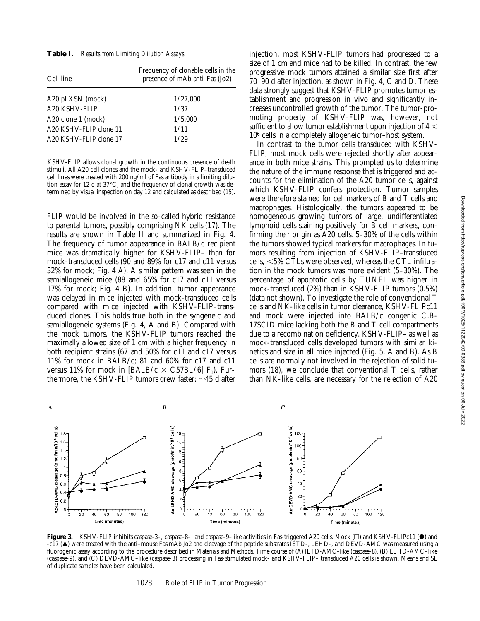**Table I.** *Results from Limiting Dilution Assays*

| Cell line                 | Frequency of clonable cells in the<br>presence of mAb anti-Fas (Jo2) |  |  |
|---------------------------|----------------------------------------------------------------------|--|--|
| A20 pLXSN (mock)          | 1/27,000                                                             |  |  |
| A <sub>20</sub> KSHV-FLIP | 1/37                                                                 |  |  |
| A20 clone 1 (mock)        | 1/5,000                                                              |  |  |
| A20 KSHV-FLIP clone 11    | 1/11                                                                 |  |  |
| A20 KSHV-FLIP clone 17    | 1/29                                                                 |  |  |
|                           |                                                                      |  |  |

KSHV-FLIP allows clonal growth in the continuous presence of death stimuli. All A20 cell clones and the mock- and KSHV-FLIP–transduced cell lines were treated with 200 ng/ml of Fas antibody in a limiting dilution assay for 12 d at 37°C, and the frequency of clonal growth was determined by visual inspection on day 12 and calculated as described (15).

FLIP would be involved in the so-called hybrid resistance to parental tumors, possibly comprising NK cells (17). The results are shown in Table II and summarized in Fig. 4. The frequency of tumor appearance in BALB/c recipient mice was dramatically higher for KSHV-FLIP– than for mock-transduced cells (90 and 89% for c17 and c11 versus 32% for mock; Fig. 4 A). A similar pattern was seen in the semiallogeneic mice (88 and 65% for c17 and c11 versus 17% for mock; Fig. 4 B). In addition, tumor appearance was delayed in mice injected with mock-transduced cells compared with mice injected with KSHV-FLIP–transduced clones. This holds true both in the syngeneic and semiallogeneic systems (Fig. 4, A and B). Compared with the mock tumors, the KSHV-FLIP tumors reached the maximally allowed size of 1 cm with a higher frequency in both recipient strains (67 and 50% for c11 and c17 versus 11% for mock in BALB/c; 81 and 60% for c17 and c11 versus 11% for mock in [BALB/c  $\times$  C57BL/6] F<sub>1</sub>). Furthermore, the KSHV-FLIP tumors grew faster:  $\sim$ 45 d after

injection, most KSHV-FLIP tumors had progressed to a size of 1 cm and mice had to be killed. In contrast, the few progressive mock tumors attained a similar size first after 70–90 d after injection, as shown in Fig. 4, C and D. These data strongly suggest that KSHV-FLIP promotes tumor establishment and progression in vivo and significantly increases uncontrolled growth of the tumor. The tumor-promoting property of KSHV-FLIP was, however, not sufficient to allow tumor establishment upon injection of 4  $\times$ 106 cells in a completely allogeneic tumor–host system.

In contrast to the tumor cells transduced with KSHV-FLIP, most mock cells were rejected shortly after appearance in both mice strains. This prompted us to determine the nature of the immune response that is triggered and accounts for the elimination of the A20 tumor cells, against which KSHV-FLIP confers protection. Tumor samples were therefore stained for cell markers of B and T cells and macrophages. Histologically, the tumors appeared to be homogeneous growing tumors of large, undifferentiated lymphoid cells staining positively for B cell markers, confirming their origin as A20 cells. 5–30% of the cells within the tumors showed typical markers for macrophages. In tumors resulting from injection of KSHV-FLIP–transduced cells,  $<$  5% CTLs were observed, whereas the CTL infiltration in the mock tumors was more evident (5–30%). The percentage of apoptotic cells by TUNEL was higher in mock-transduced (2%) than in KSHV-FLIP tumors (0.5%) (data not shown). To investigate the role of conventional T cells and NK-like cells in tumor clearance, KSHV-FLIPc11 and mock were injected into BALB/c congenic C.B-17SCID mice lacking both the B and T cell compartments due to a recombination deficiency. KSHV-FLIP– as well as mock-transduced cells developed tumors with similar kinetics and size in all mice injected (Fig. 5, A and B). As B cells are normally not involved in the rejection of solid tumors (18), we conclude that conventional T cells, rather than NK-like cells, are necessary for the rejection of A20



Figure 3. KSHV-FLIP inhibits caspase-3-, caspase-8-, and caspase-9-like activities in Fas-triggered A20 cells. Mock  $\Box$ ) and KSHV-FLIPc11 ( $\bullet$ ) and -c17 (m) were treated with the anti–mouse Fas mAb Jo2 and cleavage of the peptide substrates IETD-, LEHD-, and DEVD-AMC was measured using a fluorogenic assay according to the procedure described in Materials and Methods. Time course of (A) IETD-AMC–like (caspase-8), (B) LEHD-AMC–like (caspase-9), and (C) DEVD-AMC–like (caspase-3) processing in Fas-stimulated mock- and KSHV-FLIP– transduced A20 cells is shown. Means and SE of duplicate samples have been calculated.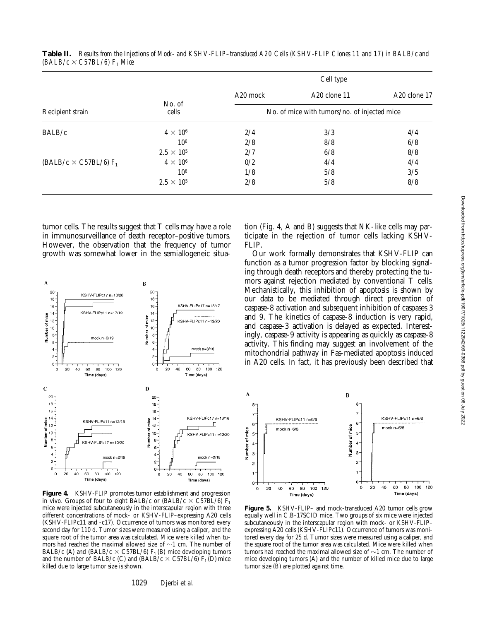| Recipient strain                | No. of<br>cells     | Cell type                                    |                          |              |
|---------------------------------|---------------------|----------------------------------------------|--------------------------|--------------|
|                                 |                     | A <sub>20</sub> mock                         | A <sub>20</sub> clone 11 | A20 clone 17 |
|                                 |                     | No. of mice with tumors/no. of injected mice |                          |              |
| BALB/c                          | $4 \times 10^6$     | 2/4                                          | 3/3                      | 4/4          |
|                                 | 10 <sup>6</sup>     | 2/8                                          | 8/8                      | 6/8          |
|                                 | $2.5 \times 10^{5}$ | 2/7                                          | 6/8                      | 8/8          |
| (BALB/c $\times$ C57BL/6) $F_1$ | $4 \times 10^6$     | 0/2                                          | 4/4                      | 4/4          |
|                                 | 10 <sup>6</sup>     | 1/8                                          | 5/8                      | 3/5          |
|                                 | $2.5 \times 10^5$   | 2/8                                          | 5/8                      | 8/8          |
|                                 |                     |                                              |                          |              |

**Table II.** *Results from the Injections of Mock- and KSHV-FLIP–transduced A20 Cells (KSHV-FLIP Clones 11 and 17) in BALB/c and*   $(BALB/c \times C57BL/6)$  F<sub>1</sub> Mice

tumor cells. The results suggest that T cells may have a role in immunosurveillance of death receptor–positive tumors. However, the observation that the frequency of tumor growth was somewhat lower in the semiallogeneic situa-



**Figure 4.** KSHV-FLIP promotes tumor establishment and progression in vivo. Groups of four to eight BALB/c or (BALB/c  $\times$  C57BL/6) F<sub>1</sub> mice were injected subcutaneously in the interscapular region with three different concentrations of mock- or KSHV-FLIP–expressing A20 cells (KSHV-FLIPc11 and -c17). Occurrence of tumors was monitored every second day for 110 d. Tumor sizes were measured using a caliper, and the square root of the tumor area was calculated. Mice were killed when tumors had reached the maximal allowed size of  $\sim$ 1 cm. The number of BALB/c (A) and (BALB/c  $\times$  C57BL/6) F<sub>1</sub> (B) mice developing tumors and the number of BALB/c (C) and (BALB/c  $\times$  C57BL/6) F<sub>1</sub> (D) mice killed due to large tumor size is shown.

tion (Fig. 4, A and B) suggests that NK-like cells may participate in the rejection of tumor cells lacking KSHV-FLIP.

Our work formally demonstrates that KSHV-FLIP can function as a tumor progression factor by blocking signaling through death receptors and thereby protecting the tumors against rejection mediated by conventional T cells. Mechanistically, this inhibition of apoptosis is shown by our data to be mediated through direct prevention of caspase-8 activation and subsequent inhibition of caspases 3 and 9. The kinetics of caspase-8 induction is very rapid, and caspase-3 activation is delayed as expected. Interestingly, caspase-9 activity is appearing as quickly as caspase-8 activity. This finding may suggest an involvement of the mitochondrial pathway in Fas-mediated apoptosis induced in A20 cells. In fact, it has previously been described that



**Figure 5.** KSHV-FLIP– and mock-transduced A20 tumor cells grow equally well in C.B-17SCID mice. Two groups of six mice were injected subcutaneously in the interscapular region with mock- or KSHV-FLIP– expressing A20 cells (KSHV-FLIPc11). Occurrence of tumors was monitored every day for 25 d. Tumor sizes were measured using a caliper, and the square root of the tumor area was calculated. Mice were killed when tumors had reached the maximal allowed size of  $\sim$ 1 cm. The number of mice developing tumors (A) and the number of killed mice due to large tumor size (B) are plotted against time.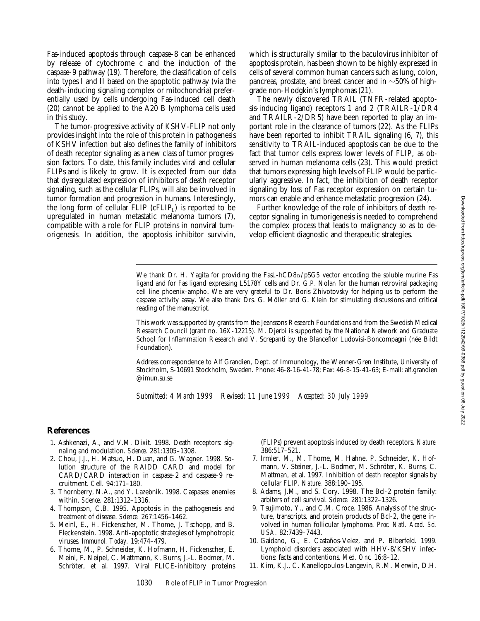Fas-induced apoptosis through caspase-8 can be enhanced by release of cytochrome c and the induction of the caspase-9 pathway (19). Therefore, the classification of cells into types I and II based on the apoptotic pathway (via the death-inducing signaling complex or mitochondria) preferentially used by cells undergoing Fas-induced cell death (20) cannot be applied to the A20 B lymphoma cells used in this study.

The tumor-progressive activity of KSHV-FLIP not only provides insight into the role of this protein in pathogenesis of KSHV infection but also defines the family of inhibitors of death receptor signaling as a new class of tumor progression factors. To date, this family includes viral and cellular FLIPs and is likely to grow. It is expected from our data that dysregulated expression of inhibitors of death receptor signaling, such as the cellular FLIPs, will also be involved in tumor formation and progression in humans. Interestingly, the long form of cellular  $FLIP$  (c $FLIP<sub>1</sub>$ ) is reported to be upregulated in human metastatic melanoma tumors (7), compatible with a role for FLIP proteins in nonviral tumorigenesis. In addition, the apoptosis inhibitor survivin,

which is structurally similar to the baculovirus inhibitor of apoptosis protein, has been shown to be highly expressed in cells of several common human cancers such as lung, colon, pancreas, prostate, and breast cancer and in  $\sim$  50% of highgrade non-Hodgkin's lymphomas (21).

The newly discovered TRAIL (TNFR-related apoptosis-inducing ligand) receptors 1 and 2 (TRAILR-1/DR4 and TRAILR-2/DR5) have been reported to play an important role in the clearance of tumors (22). As the FLIPs have been reported to inhibit TRAIL signaling (6, 7), this sensitivity to TRAIL-induced apoptosis can be due to the fact that tumor cells express lower levels of FLIP, as observed in human melanoma cells (23). This would predict that tumors expressing high levels of FLIP would be particularly aggressive. In fact, the inhibition of death receptor signaling by loss of Fas receptor expression on certain tumors can enable and enhance metastatic progression (24).

Further knowledge of the role of inhibitors of death receptor signaling in tumorigenesis is needed to comprehend the complex process that leads to malignancy so as to develop efficient diagnostic and therapeutic strategies.

We thank Dr. H. Yagita for providing the FasL-hCD8 $\alpha$ /pSG5 vector encoding the soluble murine Fas ligand and for Fas ligand expressing L5178Y cells and Dr. G.P. Nolan for the human retroviral packaging cell line phoenix-ampho. We are very grateful to Dr. Boris Zhivotovsky for helping us to perform the caspase activity assay. We also thank Drs. G. Möller and G. Klein for stimulating discussions and critical reading of the manuscript.

This work was supported by grants from the Jeanssons Research Foundations and from the Swedish Medical Research Council (grant no. 16X-12215). M. Djerbi is supported by the National Network and Graduate School for Inflammation Research and V. Screpanti by the Blanceflor Ludovisi-Boncompagni (née Bildt Foundation).

Address correspondence to Alf Grandien, Dept. of Immunology, the Wenner-Gren Institute, University of Stockholm, S-10691 Stockholm, Sweden. Phone: 46-8-16-41-78; Fax: 46-8-15-41-63; E-mail: alf.grandien @imun.su.se

*Submitted: 4 March 1999 Revised: 11 June 1999 Accepted: 30 July 1999*

## **References**

- 1. Ashkenazi, A., and V.M. Dixit. 1998. Death receptors: signaling and modulation. *Science.* 281:1305–1308.
- 2. Chou, J.J., H. Matsuo, H. Duan, and G. Wagner. 1998. Solution structure of the RAIDD CARD and model for CARD/CARD interaction in caspase-2 and caspase-9 recruitment. *Cell.* 94:171–180.
- 3. Thornberry, N.A., and Y. Lazebnik. 1998. Caspases: enemies within. *Science.* 281:1312–1316.
- 4. Thompson, C.B. 1995. Apoptosis in the pathogenesis and treatment of disease. *Science.* 267:1456–1462.
- 5. Meinl, E., H. Fickenscher, M. Thome, J. Tschopp, and B. Fleckenstein. 1998. Anti-apoptotic strategies of lymphotropic viruses. *Immunol. Today.* 19:474–479.
- 6. Thome, M., P. Schneider, K. Hofmann, H. Fickenscher, E. Meinl, F. Neipel, C. Mattmann, K. Burns, J.-L. Bodmer, M. Schröter, et al. 1997. Viral FLICE-inhibitory proteins

(FLIPs) prevent apoptosis induced by death receptors. *Nature.* 386:517–521.

- 7. Irmler, M., M. Thome, M. Hahne, P. Schneider, K. Hofmann, V. Steiner, J.-L. Bodmer, M. Schröter, K. Burns, C. Mattman, et al. 1997. Inhibition of death receptor signals by cellular FLIP. *Nature.* 388:190–195.
- 8. Adams, J.M., and S. Cory. 1998. The Bcl-2 protein family: arbiters of cell survival. *Science.* 281:1322–1326.
- 9. Tsujimoto, Y., and C.M. Croce. 1986. Analysis of the structure, transcripts, and protein products of Bcl-2, the gene involved in human follicular lymphoma. *Proc. Natl. Acad. Sci. USA.* 82:7439–7443.
- 10. Gaidano, G., E. Castaños-Velez, and P. Biberfeld. 1999. Lymphoid disorders associated with HHV-8/KSHV infections: facts and contentions. *Med. Onc.* 16:8–12.
- 11. Kim, K.J., C. Kanellopoulos-Langevin, R.M. Merwin, D.H.